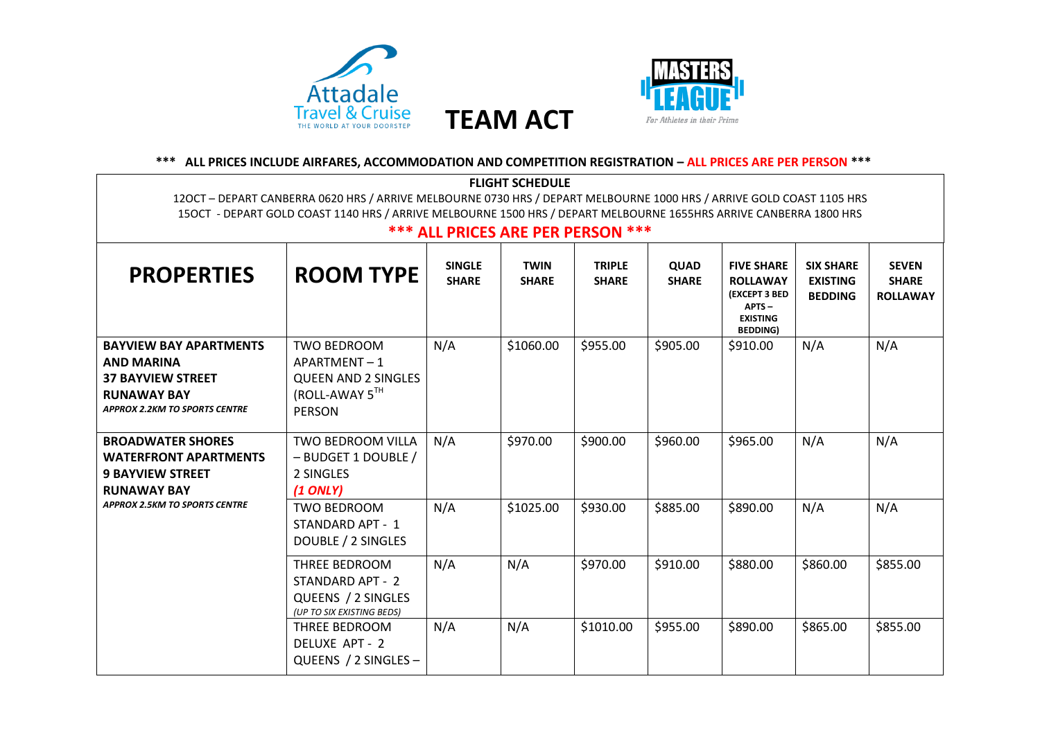



## **\*\*\* ALL PRICES INCLUDE AIRFARES, ACCOMMODATION AND COMPETITION REGISTRATION – ALL PRICES ARE PER PERSON \*\*\***

| <b>FLIGHT SCHEDULE</b>                                                                                                                                                                                                                      |                                                                                                    |                               |                             |                               |                      |                                                                                                                |                                                       |                                                 |
|---------------------------------------------------------------------------------------------------------------------------------------------------------------------------------------------------------------------------------------------|----------------------------------------------------------------------------------------------------|-------------------------------|-----------------------------|-------------------------------|----------------------|----------------------------------------------------------------------------------------------------------------|-------------------------------------------------------|-------------------------------------------------|
| 120CT - DEPART CANBERRA 0620 HRS / ARRIVE MELBOURNE 0730 HRS / DEPART MELBOURNE 1000 HRS / ARRIVE GOLD COAST 1105 HRS<br>150CT - DEPART GOLD COAST 1140 HRS / ARRIVE MELBOURNE 1500 HRS / DEPART MELBOURNE 1655HRS ARRIVE CANBERRA 1800 HRS |                                                                                                    |                               |                             |                               |                      |                                                                                                                |                                                       |                                                 |
| <b>*** ALL PRICES ARE PER PERSON ***</b>                                                                                                                                                                                                    |                                                                                                    |                               |                             |                               |                      |                                                                                                                |                                                       |                                                 |
| <b>PROPERTIES</b>                                                                                                                                                                                                                           | <b>ROOM TYPE</b>                                                                                   | <b>SINGLE</b><br><b>SHARE</b> | <b>TWIN</b><br><b>SHARE</b> | <b>TRIPLE</b><br><b>SHARE</b> | QUAD<br><b>SHARE</b> | <b>FIVE SHARE</b><br><b>ROLLAWAY</b><br><b>(EXCEPT 3 BED</b><br>$APTS -$<br><b>EXISTING</b><br><b>BEDDING)</b> | <b>SIX SHARE</b><br><b>EXISTING</b><br><b>BEDDING</b> | <b>SEVEN</b><br><b>SHARE</b><br><b>ROLLAWAY</b> |
| <b>BAYVIEW BAY APARTMENTS</b><br><b>AND MARINA</b><br><b>37 BAYVIEW STREET</b><br><b>RUNAWAY BAY</b><br><b>APPROX 2.2KM TO SPORTS CENTRE</b>                                                                                                | <b>TWO BEDROOM</b><br>APARTMENT-1<br><b>QUEEN AND 2 SINGLES</b><br>(ROLL-AWAY 5TH<br><b>PERSON</b> | N/A                           | \$1060.00                   | \$955.00                      | \$905.00             | \$910.00                                                                                                       | N/A                                                   | N/A                                             |
| <b>BROADWATER SHORES</b><br><b>WATERFRONT APARTMENTS</b><br><b>9 BAYVIEW STREET</b><br><b>RUNAWAY BAY</b>                                                                                                                                   | TWO BEDROOM VILLA<br>- BUDGET 1 DOUBLE /<br>2 SINGLES<br>$(1$ ONLY)                                | N/A                           | \$970.00                    | \$900.00                      | \$960.00             | \$965.00                                                                                                       | N/A                                                   | N/A                                             |
| <b>APPROX 2.5KM TO SPORTS CENTRE</b>                                                                                                                                                                                                        | <b>TWO BEDROOM</b><br>STANDARD APT - 1<br>DOUBLE / 2 SINGLES                                       | N/A                           | \$1025.00                   | \$930.00                      | \$885.00             | \$890.00                                                                                                       | N/A                                                   | N/A                                             |
|                                                                                                                                                                                                                                             | THREE BEDROOM<br>STANDARD APT - 2<br>QUEENS / 2 SINGLES<br>(UP TO SIX EXISTING BEDS)               | N/A                           | N/A                         | \$970.00                      | \$910.00             | \$880.00                                                                                                       | \$860.00                                              | \$855.00                                        |
|                                                                                                                                                                                                                                             | THREE BEDROOM<br>DELUXE APT - 2<br>QUEENS / 2 SINGLES -                                            | N/A                           | N/A                         | \$1010.00                     | \$955.00             | \$890.00                                                                                                       | \$865.00                                              | \$855.00                                        |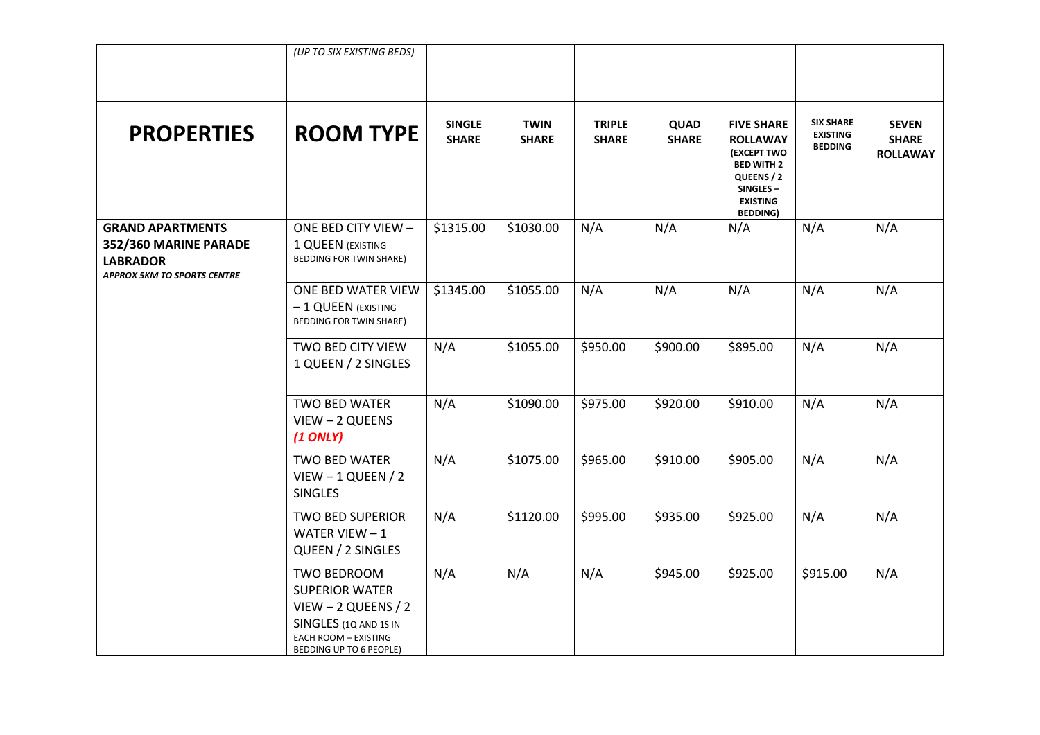|                                                                                                           | (UP TO SIX EXISTING BEDS)                                                                                                                                |                               |                             |                               |                      |                                                                                                                                                 |                                                       |                                                 |
|-----------------------------------------------------------------------------------------------------------|----------------------------------------------------------------------------------------------------------------------------------------------------------|-------------------------------|-----------------------------|-------------------------------|----------------------|-------------------------------------------------------------------------------------------------------------------------------------------------|-------------------------------------------------------|-------------------------------------------------|
| <b>PROPERTIES</b>                                                                                         | <b>ROOM TYPE</b>                                                                                                                                         | <b>SINGLE</b><br><b>SHARE</b> | <b>TWIN</b><br><b>SHARE</b> | <b>TRIPLE</b><br><b>SHARE</b> | QUAD<br><b>SHARE</b> | <b>FIVE SHARE</b><br><b>ROLLAWAY</b><br><b>(EXCEPT TWO</b><br><b>BED WITH 2</b><br>QUEENS / 2<br>SINGLES-<br><b>EXISTING</b><br><b>BEDDING)</b> | <b>SIX SHARE</b><br><b>EXISTING</b><br><b>BEDDING</b> | <b>SEVEN</b><br><b>SHARE</b><br><b>ROLLAWAY</b> |
| <b>GRAND APARTMENTS</b><br>352/360 MARINE PARADE<br><b>LABRADOR</b><br><b>APPROX 5KM TO SPORTS CENTRE</b> | ONE BED CITY VIEW -<br>1 QUEEN (EXISTING<br><b>BEDDING FOR TWIN SHARE)</b>                                                                               | \$1315.00                     | \$1030.00                   | N/A                           | N/A                  | N/A                                                                                                                                             | N/A                                                   | N/A                                             |
|                                                                                                           | ONE BED WATER VIEW<br>- 1 QUEEN (EXISTING<br><b>BEDDING FOR TWIN SHARE)</b>                                                                              | \$1345.00                     | \$1055.00                   | N/A                           | N/A                  | N/A                                                                                                                                             | N/A                                                   | N/A                                             |
|                                                                                                           | TWO BED CITY VIEW<br>1 QUEEN / 2 SINGLES                                                                                                                 | N/A                           | \$1055.00                   | \$950.00                      | \$900.00             | \$895.00                                                                                                                                        | N/A                                                   | N/A                                             |
|                                                                                                           | TWO BED WATER<br>VIEW - 2 QUEENS<br>$(1$ ONLY)                                                                                                           | N/A                           | \$1090.00                   | \$975.00                      | \$920.00             | \$910.00                                                                                                                                        | N/A                                                   | N/A                                             |
|                                                                                                           | <b>TWO BED WATER</b><br>$V$ IEW $-1$ QUEEN / 2<br><b>SINGLES</b>                                                                                         | N/A                           | \$1075.00                   | \$965.00                      | \$910.00             | \$905.00                                                                                                                                        | N/A                                                   | N/A                                             |
|                                                                                                           | <b>TWO BED SUPERIOR</b><br>WATER VIEW $-1$<br>QUEEN / 2 SINGLES                                                                                          | N/A                           | \$1120.00                   | \$995.00                      | \$935.00             | \$925.00                                                                                                                                        | N/A                                                   | N/A                                             |
|                                                                                                           | <b>TWO BEDROOM</b><br><b>SUPERIOR WATER</b><br>$V$ IEW - 2 QUEENS / 2<br>SINGLES (1Q AND 1S IN<br><b>EACH ROOM - EXISTING</b><br>BEDDING UP TO 6 PEOPLE) | N/A                           | N/A                         | N/A                           | \$945.00             | \$925.00                                                                                                                                        | \$915.00                                              | N/A                                             |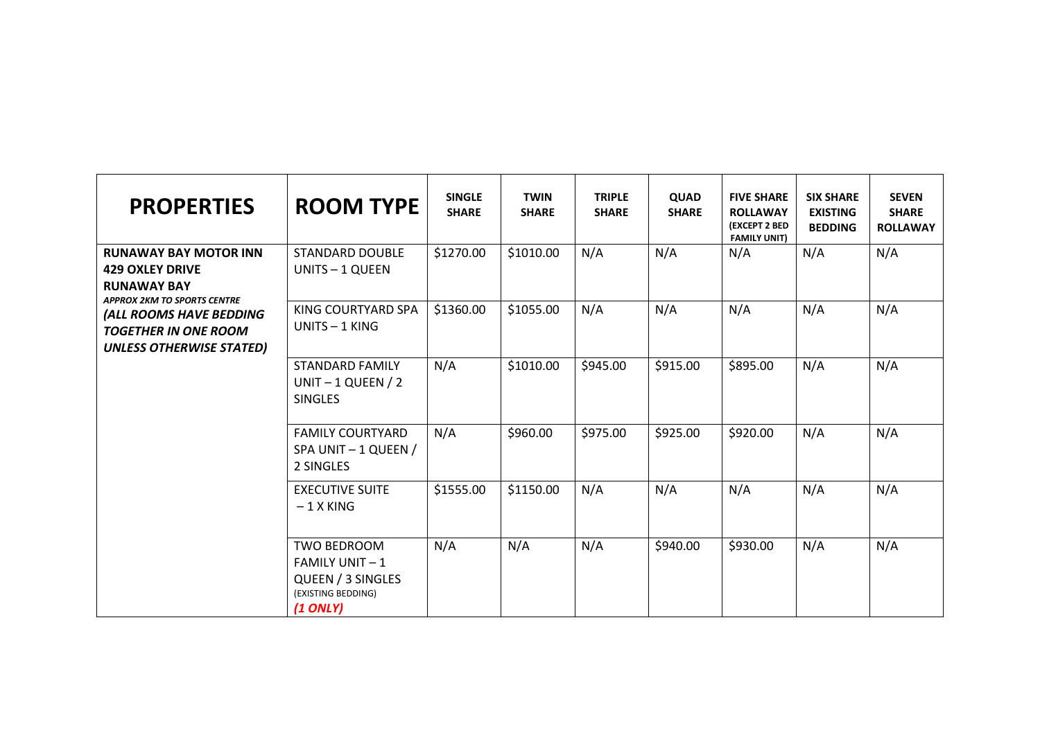| <b>PROPERTIES</b>                                                                                                  | <b>ROOM TYPE</b>                                                                                      | <b>SINGLE</b><br><b>SHARE</b> | <b>TWIN</b><br><b>SHARE</b> | <b>TRIPLE</b><br><b>SHARE</b> | <b>QUAD</b><br><b>SHARE</b> | <b>FIVE SHARE</b><br><b>ROLLAWAY</b><br><b>(EXCEPT 2 BED</b><br><b>FAMILY UNIT)</b> | <b>SIX SHARE</b><br><b>EXISTING</b><br><b>BEDDING</b> | <b>SEVEN</b><br><b>SHARE</b><br><b>ROLLAWAY</b> |
|--------------------------------------------------------------------------------------------------------------------|-------------------------------------------------------------------------------------------------------|-------------------------------|-----------------------------|-------------------------------|-----------------------------|-------------------------------------------------------------------------------------|-------------------------------------------------------|-------------------------------------------------|
| <b>RUNAWAY BAY MOTOR INN</b><br><b>429 OXLEY DRIVE</b><br><b>RUNAWAY BAY</b><br><b>APPROX 2KM TO SPORTS CENTRE</b> | <b>STANDARD DOUBLE</b><br>UNITS - 1 QUEEN                                                             | \$1270.00                     | \$1010.00                   | N/A                           | N/A                         | N/A                                                                                 | N/A                                                   | N/A                                             |
| (ALL ROOMS HAVE BEDDING<br><b>TOGETHER IN ONE ROOM</b><br><b>UNLESS OTHERWISE STATED)</b>                          | KING COURTYARD SPA<br>UNITS - 1 KING                                                                  | \$1360.00                     | \$1055.00                   | N/A                           | N/A                         | N/A                                                                                 | N/A                                                   | N/A                                             |
|                                                                                                                    | <b>STANDARD FAMILY</b><br>UNIT $-1$ QUEEN / 2<br><b>SINGLES</b>                                       | N/A                           | \$1010.00                   | \$945.00                      | \$915.00                    | \$895.00                                                                            | N/A                                                   | N/A                                             |
|                                                                                                                    | <b>FAMILY COURTYARD</b><br>SPA UNIT - 1 QUEEN /<br>2 SINGLES                                          | N/A                           | \$960.00                    | \$975.00                      | \$925.00                    | \$920.00                                                                            | N/A                                                   | N/A                                             |
|                                                                                                                    | <b>EXECUTIVE SUITE</b><br>$-1$ X KING                                                                 | \$1555.00                     | \$1150.00                   | N/A                           | N/A                         | N/A                                                                                 | N/A                                                   | N/A                                             |
|                                                                                                                    | <b>TWO BEDROOM</b><br><b>FAMILY UNIT - 1</b><br>QUEEN / 3 SINGLES<br>(EXISTING BEDDING)<br>$(1$ ONLY) | N/A                           | N/A                         | N/A                           | \$940.00                    | \$930.00                                                                            | N/A                                                   | N/A                                             |